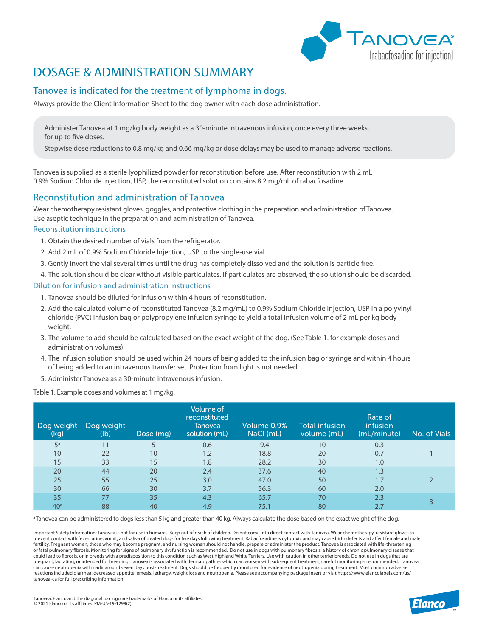

# DOSAGE & ADMINISTRATION SUMMARY

## Tanovea is indicated for the treatment of lymphoma in dogs.

Always provide the Client Information Sheet to the dog owner with each dose administration.

Administer Tanovea at 1 mg/kg body weight as a 30-minute intravenous infusion, once every three weeks, for up to five doses.

Stepwise dose reductions to 0.8 mg/kg and 0.66 mg/kg or dose delays may be used to manage adverse reactions.

Tanovea is supplied as a sterile lyophilized powder for reconstitution before use. After reconstitution with 2 mL 0.9% Sodium Chloride Injection, USP, the reconstituted solution contains 8.2 mg/mL of rabacfosadine.

## Reconstitution and administration of Tanovea

Wear chemotherapy resistant gloves, goggles, and protective clothing in the preparation and administration of Tanovea. Use aseptic technique in the preparation and administration of Tanovea.

#### Reconstitution instructions

- 1. Obtain the desired number of vials from the refrigerator.
- 2. Add 2 mL of 0.9% Sodium Chloride Injection, USP to the single-use vial.
- 3. Gently invert the vial several times until the drug has completely dissolved and the solution is particle free.
- 4. The solution should be clear without visible particulates. If particulates are observed, the solution should be discarded.

### Dilution for infusion and administration instructions

- 1. Tanovea should be diluted for infusion within 4 hours of reconstitution.
- 2. Add the calculated volume of reconstituted Tanovea (8.2 mg/mL) to 0.9% Sodium Chloride Injection, USP in a polyvinyl chloride (PVC) infusion bag or polypropylene infusion syringe to yield a total infusion volume of 2 mL per kg body weight.
- 3. The volume to add should be calculated based on the exact weight of the dog. (See Table 1. for example doses and administration volumes).
- 4. The infusion solution should be used within 24 hours of being added to the infusion bag or syringe and within 4 hours of being added to an intravenous transfer set. Protection from light is not needed.
- 5. Administer Tanovea as a 30-minute intravenous infusion.

Table 1. Example doses and volumes at 1 mg/kg.

| Dog weight<br>(kg) | Dog weight<br>(lb) | Dose (mg) | Volume of<br>reconstituted<br>Tanovea<br>solution (mL) | Volume 0.9%<br>NaCl (mL) | Total infusion<br>volume (mL) | Rate of<br>infusion<br>(mL/minute) | No. of Vials |
|--------------------|--------------------|-----------|--------------------------------------------------------|--------------------------|-------------------------------|------------------------------------|--------------|
| 5 <sup>a</sup>     | 11                 |           | 0.6                                                    | 9.4                      | 10                            | 0.3                                |              |
| 10                 | 22                 | 10        | 1.2                                                    | 18.8                     | 20                            | 0.7                                |              |
| 15                 | 33                 | 15        | 1.8                                                    | 28.2                     | 30                            | 1.0                                |              |
| 20                 | 44                 | 20        | 2.4                                                    | 37.6                     | 40                            | 1.3                                |              |
| 25                 | 55                 | 25        | 3.0                                                    | 47.0                     | 50                            | 1.7                                |              |
| 30                 | 66                 | 30        | 3.7                                                    | 56.3                     | 60                            | 2.0                                |              |
| 35                 | 77                 | 35        | 4.3                                                    | 65.7                     | 70                            | 2.3                                |              |
| 40 <sup>a</sup>    | 88                 | 40        | 4.9                                                    | 75.1                     | 80                            |                                    |              |

<sup>a</sup> Tanovea can be administered to dogs less than 5 kg and greater than 40 kg. Always calculate the dose based on the exact weight of the dog.

Important Safety Information: Tanovea is not for use in humans. Keep out of reach of children. Do not come into direct contact with Tanovea. Wear chemotherapy-resistant gloves to prevent contact with feces, urine, vomit, and saliva of treated dogs for five days following treatment. Rabacfosadine is cytotoxic and may cause birth defects and affect female and male fertility. Pregnant women, those who may become pregnant, and nursing women should not handle, prepare or administer the product. Tanovea is associated with life-threatening or fatal pulmonary fibrosis. Monitoring for signs of pulmonary dysfunction is recommended. Do not use in dogs with pulmonary fibrosis, a history of chronic pulmonary disease that could lead to fibrosis, or in breeds with a predisposition to this condition such as West Highland White Terriers. Use with caution in other terrier breeds. Do not use in dogs that are pregnant, lactating, or intended for breeding. Tanovea is associated with dermatopathies which can worsen with subsequent treatment; careful monitoring is recommended. Tanovea<br>can cause neutropenia with nadir around seven reactions included diarrhea, decreased appetite, emesis, lethargy, weight loss and neutropenia. Please see accompanying package insert or visit https://www.elancolabels.com/us/ tanovea-ca for full prescribing information.

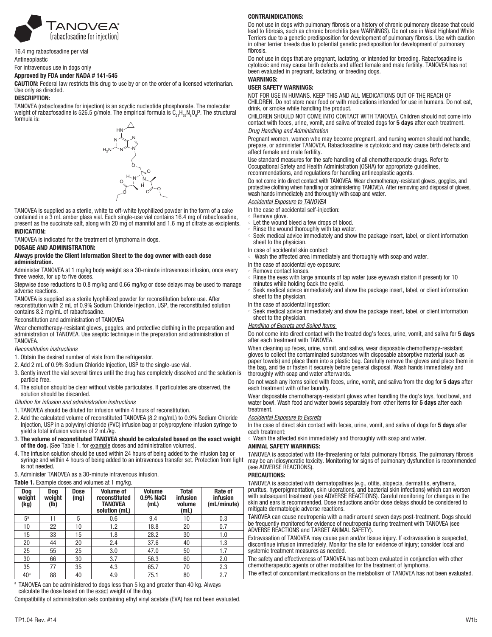

16.4 mg rabacfosadine per vial Antineoplastic

For intravenous use in dogs only

#### Approved by FDA under NADA # 141-545

CAUTION: Federal law restricts this drug to use by or on the order of a licensed veterinarian. Use only as directed.

#### DESCRIPTION:

TANOVEA (rabacfosadine for injection) is an acyclic nucleotide phosphonate. The molecular weight of rabacfosadine is 526.5 g/mole. The empirical formula is  $\mathsf{C}_{21}\mathsf{H}_{35}\mathsf{N}_{8}\mathsf{O}_{6}\mathsf{P}.$  The structural formula is:



TANOVEA is supplied as a sterile, white to off-white lyophilized powder in the form of a cake contained in a 3 mL amber glass vial. Each single-use vial contains 16.4 mg of rabacfosadine, present as the succinate salt, along with 20 mg of mannitol and 1.6 mg of citrate as excipients. INDICATION:

TANOVEA is indicated for the treatment of lymphoma in dogs.

DOSAGE AND ADMINISTRATION:

#### Always provide the Client Information Sheet to the dog owner with each dose administration.

Administer TANOVEA at 1 mg/kg body weight as a 30-minute intravenous infusion, once every three weeks, for up to five doses.

Stepwise dose reductions to 0.8 mg/kg and 0.66 mg/kg or dose delays may be used to manage adverse reactions.

TANOVEA is supplied as a sterile lyophilized powder for reconstitution before use. After reconstitution with 2 mL of 0.9% Sodium Chloride Injection, USP, the reconstituted solution contains 8.2 mg/mL of rabacfosadine.

#### Reconstitution and administration of TANOVEA

Wear chemotherapy-resistant gloves, goggles, and protective clothing in the preparation and administration of TANOVEA. Use aseptic technique in the preparation and administration of **TANOVFA** 

*Reconstitution instructions* 

- 1. Obtain the desired number of vials from the refrigerator.
- 2. Add 2 mL of 0.9% Sodium Chloride Injection, USP to the single-use vial.
- 3. Gently invert the vial several times until the drug has completely dissolved and the solution is particle free.
- 4. The solution should be clear without visible particulates. If particulates are observed, the solution should be discarded.

*Dilution for infusion and administration instructions* 

- 1. TANOVEA should be diluted for infusion within 4 hours of reconstitution.
- 2. Add the calculated volume of reconstituted TANOVEA (8.2 mg/mL) to 0.9% Sodium Chloride Injection, USP in a polyvinyl chloride (PVC) infusion bag or polypropylene infusion syringe to yield a total infusion volume of 2 mL/kg.
- 3. The volume of reconstituted TANOVEA should be calculated based on the exact weight of the dog. (See Table 1. for example doses and administration volumes).
- 4. The infusion solution should be used within 24 hours of being added to the infusion bag or syringe and within 4 hours of being added to an intravenous transfer set. Protection from light is not needed.

5. Administer TANOVEA as a 30-minute intravenous infusion.

Table 1. Example doses and volumes at 1 mg/kg.

| Dog<br>weight<br>(kg) | Dog<br>weight<br>(Ib) | <b>Dose</b><br>(mg) | <b>Volume of</b><br>reconstituted<br>TANOVEA<br>solution (mL) | <b>Volume</b><br><b>0.9% NaCl</b><br>(mL) | <b>Total</b><br>infusion<br>volume<br>(mL) | Rate of<br><b>infusion</b><br>(mL/minute) |
|-----------------------|-----------------------|---------------------|---------------------------------------------------------------|-------------------------------------------|--------------------------------------------|-------------------------------------------|
| 5 <sup>a</sup>        | 11                    | 5                   | 0.6                                                           | 9.4                                       | 10                                         | 0.3                                       |
| 10                    | 22                    | 10                  | 1.2                                                           | 18.8                                      | 20                                         | 0.7                                       |
| 15                    | 33                    | 15                  | 1.8                                                           | 28.2                                      | 30                                         | 1.0                                       |
| 20                    | 44                    | 20                  | 2.4                                                           | 37.6                                      | 40                                         | 1.3                                       |
| 25                    | 55                    | 25                  | 3.0                                                           | 47.0                                      | 50                                         | 1.7                                       |
| 30                    | 66                    | 30                  | 3.7                                                           | 56.3                                      | 60                                         | 2.0                                       |
| 35                    | 77                    | 35                  | 4.3                                                           | 65.7                                      | 70                                         | 2.3                                       |
| 40 <sup>a</sup>       | 88                    | 40                  | 4.9                                                           | 75.1                                      | 80                                         | 2.7                                       |

a TANOVEA can be administered to dogs less than 5 kg and greater than 40 kg. Always

calculate the dose based on the exact weight of the dog.

Compatibility of administration sets containing ethyl vinyl acetate (EVA) has not been evaluated.

#### CONTRAINDICATIONS:

Do not use in dogs with pulmonary fibrosis or a history of chronic pulmonary disease that could lead to fibrosis, such as chronic bronchitis (see WARNINGS). Do not use in West Highland White Terriers due to a genetic predisposition for development of pulmonary fibrosis. Use with caution in other terrier breeds due to potential genetic predisposition for development of pulmonary fibrosis

Do not use in dogs that are pregnant, lactating, or intended for breeding. Rabacfosadine is cytotoxic and may cause birth defects and affect female and male fertility. TANOVEA has not been evaluated in pregnant, lactating, or breeding dogs.

## WARNINGS:

## USER SAFETY WARNINGS:

NOT FOR USE IN HUMANS. KEEP THIS AND ALL MEDICATIONS OUT OF THE REACH OF CHILDREN. Do not store near food or with medications intended for use in humans. Do not eat, drink, or smoke while handling the product.

CHILDREN SHOULD NOT COME INTO CONTACT WITH TANOVEA. Children should not come into contact with feces, urine, vomit, and saliva of treated dogs for 5 days after each treatment. *Drug Handling and Administration*

Pregnant women, women who may become pregnant, and nursing women should not handle, prepare, or administer TANOVEA. Rabacfosadine is cytotoxic and may cause birth defects and affect female and male fertility.

Use standard measures for the safe handling of all chemotherapeutic drugs. Refer to Occupational Safety and Health Administration (OSHA) for appropriate guidelines, recommendations, and regulations for handling antineoplastic agents.

Do not come into direct contact with TANOVEA. Wear chemotherapy-resistant gloves, goggles, and protective clothing when handling or administering TANOVEA. After removing and disposal of gloves, wash hands immediately and thoroughly with soap and water.

*Accidental Exposure to TANOVEA*

- In the case of accidental self-injection:
- Remove glove.
- Let the wound bleed a few drops of blood.
- Rinse the wound thoroughly with tap water.
- Seek medical advice immediately and show the package insert, label, or client information sheet to the physician.
- In case of accidental skin contact:
- ° Wash the affected area immediately and thoroughly with soap and water.
- In the case of accidental eye exposure:
- Remove contact lenses.
- ° Rinse the eyes with large amounts of tap water (use eyewash station if present) for 10 minutes while holding back the eyelid.
- Seek medical advice immediately and show the package insert, label, or client information sheet to the physician.
	- In the case of accidental ingestion:
	- Seek medical advice immediately and show the package insert, label, or client information sheet to the physician.

#### *Handling of Excreta and Soiled Items*

Do not come into direct contact with the treated dog's feces, urine, vomit, and saliva for 5 days after each treatment with TANOVEA.

When cleaning up feces, urine, vomit, and saliva, wear disposable chemotherapy-resistant gloves to collect the contaminated substances with disposable absorptive material (such as paper towels) and place them into a plastic bag. Carefully remove the gloves and place them in the bag, and tie or fasten it securely before general disposal. Wash hands immediately and thoroughly with soap and water afterwards.

Do not wash any items soiled with feces, urine, vomit, and saliva from the dog for 5 days after each treatment with other laundry.

Wear disposable chemotherapy-resistant gloves when handling the dog's toys, food bowl, and water bowl. Wash food and water bowls separately from other items for 5 days after each treatment.

#### *Accidental Exposure to Excreta*

In the case of direct skin contact with feces, urine, vomit, and saliva of dogs for 5 days after each treatment:

Wash the affected skin immediately and thoroughly with soap and water.

#### ANIMAL SAFETY WARNINGS:

TANOVEA is associated with life-threatening or fatal pulmonary fibrosis. The pulmonary fibrosis may be an idiosyncratic toxicity. Monitoring for signs of pulmonary dysfunction is recommended (see ADVERSE REACTIONS).

#### PRECAUTIONS:

TANOVEA is associated with dermatopathies (e.g., otitis, alopecia, dermatitis, erythema, pruritus, hyperpigmentation, skin ulcerations, and bacterial skin infections) which can worsen with subsequent treatment (see ADVERSE REACTIONS). Careful monitoring for changes in the skin and ears is recommended. Dose reductions and/or dose delays should be considered to mitigate dermatologic adverse reactions.

TANOVEA can cause neutropenia with a nadir around seven days post-treatment. Dogs should be frequently monitored for evidence of neutropenia during treatment with TANOVEA (see ADVERSE REACTIONS and TARGET ANIMAL SAFETY).

Extravasation of TANOVEA may cause pain and/or tissue injury. If extravasation is suspected, discontinue infusion immediately. Monitor the site for evidence of injury; consider local and systemic treatment measures as needed.

The safety and effectiveness of TANOVEA has not been evaluated in conjunction with other chemotherapeutic agents or other modalities for the treatment of lymphoma.

The effect of concomitant medications on the metabolism of TANOVEA has not been evaluated.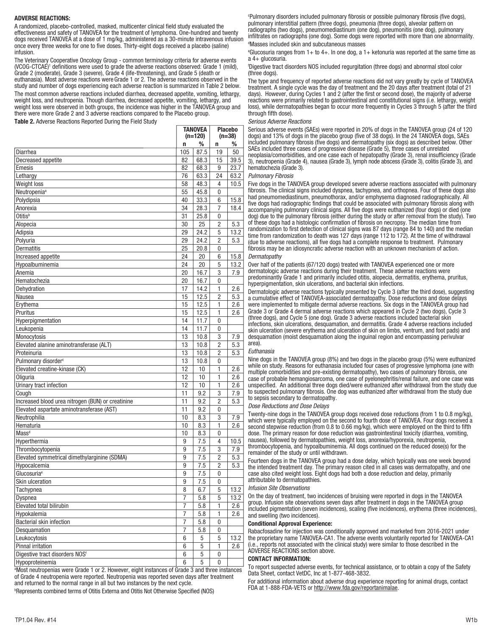#### ADVERSE REACTIONS:

A randomized, placebo-controlled, masked, multicenter clinical field study evaluated the effectiveness and safety of TANOVEA for the treatment of lymphoma. One-hundred and twenty dogs received TANOVEA at a dose of 1 mg/kg, administered as a 30-minute intravenous infusion once every three weeks for one to five doses. Thirty-eight dogs received a placebo (saline) infusion.

The Veterinary Cooperative Oncology Group - common terminology criteria for adverse events (VCOG-CTCAE)<sup>1</sup> definitions were used to grade the adverse reactions observed: Grade 1 (mild), Grade 2 (moderate), Grade 3 (severe), Grade 4 (life-threatening), and Grade 5 (death or euthanasia). Most adverse reactions were Grade 1 or 2. The adverse reactions observed in the study and number of dogs experiencing each adverse reaction is summarized in Table 2 below.

The most common adverse reactions included diarrhea, decreased appetite, vomiting, lethargy, weight loss, and neutropenia. Though diarrhea, decreased appetite, vomiting, lethargy, and weight loss were observed in both groups, the incidence was higher in the TANOVEA group and there were more Grade 2 and 3 adverse reactions compared to the Placebo group.

Table 2. Adverse Reactions Reported During the Field Study

|                                                   | <b>TANOVEA</b><br>(n=120) |            | <b>Placebo</b><br>$(n=38)$ |         |
|---------------------------------------------------|---------------------------|------------|----------------------------|---------|
|                                                   | n                         | %          | n                          | ℅       |
| Diarrhea                                          | 105                       | 87.5       | 19                         | 50      |
| Decreased appetite                                | 82                        | 68.3       | 15                         | 39.5    |
| Emesis                                            | 82                        | 68.3       | 9                          | 23.7    |
| Lethargy                                          | 76                        | 63.3       | 24                         | 63.2    |
| <b>Weight loss</b>                                | 58                        | 48.3       | 4                          | 10.5    |
| Neutropenia <sup>a</sup>                          | 55                        | 45.8       | 0                          |         |
| Polydipsia                                        | 40                        | 33.3       | 6                          | 15.8    |
| Anorexia                                          | 34                        | 28.3       | 7                          | 18.4    |
| Otitis <sup>b</sup>                               | 31                        | 25.8       | 0                          |         |
| Alopecia                                          | 30                        | 25         | $\overline{2}$             | 5.3     |
| Adipsia                                           | 29                        | 24.2       | 5                          | 13.2    |
|                                                   | 29                        | 24.2       | 2                          | 5.3     |
| Polyuria                                          |                           |            |                            |         |
| <b>Dermatitis</b>                                 | 25<br>24                  | 20.8<br>20 | 0<br>6                     |         |
| Increased appetite                                |                           |            |                            | 15.8    |
| Hypoalbuminemia                                   | 24                        | 20         | 5                          | 13.2    |
| Anemia                                            | 20                        | 16.7       | 3                          | 7.9     |
| Hematochezia                                      | 20                        | 16.7       | $\mathbf{0}$               |         |
| Dehydration                                       | 17                        | 14.2       | 1                          | 2.6     |
| Nausea                                            | 15                        | 12.5       | $\overline{2}$             | 5.3     |
| Erythema                                          | 15                        | 12.5       | 1                          | 2.6     |
| Pruritus                                          | 15                        | 12.5       | 1                          | 2.6     |
| Hyperpigmentation                                 | 14                        | 11.7       | 0                          |         |
| Leukopenia                                        | 14                        | 11.7       | 0                          |         |
| Monocytosis                                       | 13                        | 10.8       | 3                          | 7.9     |
| Elevated alanine aminotransferase (ALT)           | 13                        | 10.8       | 2                          | 5.3     |
| Proteinuria                                       | 13                        | 10.8       | $\overline{2}$             | 5.3     |
| Pulmonary disorder <sup>c</sup>                   | 13                        | 10.8       | 0                          |         |
| Elevated creatine-kinase (CK)                     | 12                        | 10         | 1                          | 2.6     |
| Oliguria                                          | 12                        | 10         | 1                          | 2.6     |
| Urinary tract infection                           | 12                        | 10         | 1                          | 2.6     |
| Cough                                             | 11                        | 9.2        | 3                          | 7.9     |
| Increased blood urea nitrogen (BUN) or creatinine | 11                        | 9.2        | $\overline{2}$             | 5.3     |
| Elevated aspartate aminotransferase (AST)         | 11                        | 9.2        | 0                          |         |
| Neutrophilia                                      | 10                        | 8.3        | 3                          | 7.9     |
| Hematuria                                         | 10                        | 8.3        | 1                          | 2.6     |
| Mass <sup>d</sup>                                 | 10                        | 8.3        | 0                          |         |
| Hyperthermia                                      | 9                         | 7.5        | 4                          | 10.5    |
| Thrombocytopenia                                  | 9                         | 7.5        | 3                          | 7.9     |
| Elevated symmetrical dimethylarginine (SDMA)      | 9                         | 7.5        | 2                          | 5.3     |
| Hypocalcemia                                      | 9                         | 7.5        | 2                          | 5.3     |
| Glucosuria <sup>e</sup>                           | 9                         | 7.5        | $\theta$                   |         |
| Skin ulceration                                   | 9                         | 7.5        | 0                          |         |
| Tachypnea                                         | 8                         | 6.7        | 5                          | 13.2    |
| Dyspnea                                           | 7                         | 5.8        | 5                          | 13.2    |
| Elevated total bilirubin                          | 7                         | 5.8        | 1                          | $2.6\,$ |
| Hypokalemia                                       | 7                         | 5.8        | 1                          | 2.6     |
| Bacterial skin infection                          | 7                         | 5.8        | 0                          |         |
| Desquamation                                      | 7                         | 5.8        | 0                          |         |
| Leukocytosis                                      | 6                         | 5          | 5                          | 13.2    |
| Pinnal irritation                                 | 6                         | 5          | 1                          | 2.6     |
| Digestive tract disorders NOSf                    | 6                         | 5          | $\bf{0}$                   |         |
| Hynonroteinemia                                   | հ                         | 5          | $\Omega$                   |         |

Hypoproteinemia 6 5 0 a Most neutropenias were Grade 1 or 2. However, eight instances of Grade 3 and three instances of Grade 4 neutropenia were reported. Neutropenia was reported seven days after treatment and returned to the normal range in all but two instances by the next cycle.

b Represents combined terms of Otitis Externa and Otitis Not Otherwise Specified (NOS)

c Pulmonary disorders included pulmonary fibrosis or possible pulmonary fibrosis (five dogs), pulmonary interstitial pattern (three dogs), pneumonia (three dogs), alveolar pattern on radiographs (two dogs), pneumomediastinum (one dog), pneumonitis (one dog), pulmonary infiltrates on radiographs (one dog). Some dogs were reported with more than one abnormality. d Masses included skin and subcutaneous masses

e Glucosuria ranges from 1+ to 4+. In one dog, a 1+ ketonuria was reported at the same time as a 4+ glucosuria.

f Digestive tract disorders NOS included regurgitation (three dogs) and abnormal stool color (three dogs).

The type and frequency of reported adverse reactions did not vary greatly by cycle of TANOVEA treatment. A single cycle was the day of treatment and the 20 days after treatment (total of 21 days). However, during Cycles 1 and 2 (after the first or second dose), the majority of adverse reactions were primarily related to gastrointestinal and constitutional signs (i.e. lethargy, weight loss), while dermatopathies began to occur more frequently in Cycles 3 through 5 (after the third through fifth dose).

#### *Serious Adverse Reactions*

Serious adverse events (SAEs) were reported in 20% of dogs in the TANOVEA group (24 of 120 dogs) and 13% of dogs in the placebo group (five of 38 dogs). In the 24 TANOVEA dogs, SAEs included pulmonary fibrosis (five dogs) and dermatopathy (six dogs) as described below. Other SAEs included three cases of progressive disease (Grade 5), three cases of unrelated neoplasia/comorbidities, and one case each of hepatopathy (Grade 3), renal insufficiency (Grade 3), neutropenia (Grade 4), nausea (Grade 3), lymph node abscess (Grade 3), colitis (Grade 3), and hematochezia (Grade 3).

#### *Pulmonary Fibrosis*

Five dogs in the TANOVEA group developed severe adverse reactions associated with pulmonary fibrosis. The clinical signs included dyspnea, tachypnea, and orthopnea. Four of these dogs also had pneumomediastinum, pneumothorax, and/or emphysema diagnosed radiographically. All five dogs had radiographic findings that could be associated with pulmonary fibrosis along with accompanying pulmonary clinical signs. All five dogs were euthanized (four dogs) or died (one dog) due to the pulmonary fibrosis (either during the study or after removal from the study). Two of these dogs had a histologic confirmation of fibrosis on necropsy. The median time from randomization to first detection of clinical signs was 87 days (range 84 to 140) and the median time from randomization to death was 127 days (range 112 to 172). At the time of withdrawal (due to adverse reactions), all five dogs had a complete response to treatment. Pulmonary fibrosis may be an idiosyncratic adverse reaction with an unknown mechanism of action. *Dermatopathy*

Over half of the patients (67/120 dogs) treated with TANOVEA experienced one or more dermatologic adverse reactions during their treatment. These adverse reactions were predominantly Grade 1 and primarily included otitis, alopecia, dermatitis, erythema, pruritus, hyperpigmentation, skin ulcerations, and bacterial skin infections.

Dermatologic adverse reactions typically presented by Cycle 3 (after the third dose), suggesting a cumulative effect of TANOVEA-associated dermatopathy. Dose reductions and dose delays were implemented to mitigate dermal adverse reactions. Six dogs in the TANOVEA group had Grade 3 or Grade 4 dermal adverse reactions which appeared in Cycle 2 (two dogs), Cycle 3 (three dogs), and Cycle 5 (one dog). Grade 3 adverse reactions included bacterial skin infections, skin ulcerations, desquamation, and dermatitis. Grade 4 adverse reactions included skin ulceration (severe erythema and ulceration of skin on limbs, ventrum, and foot pads) and desquamation (moist desquamation along the inguinal region and encompassing perivulvar area).

#### *Euthanasia*

Nine dogs in the TANOVEA group (8%) and two dogs in the placebo group (5%) were euthanized while on study. Reasons for euthanasia included four cases of progressive lymphoma (one with multiple comorbidities and pre-existing dermatopathy), two cases of pulmonary fibrosis, one case of probable hemangiosarcoma, one case of pyelonephritis/renal failure, and one case was unspecified. An additional three dogs died/were euthanized after withdrawal from the study due to suspected pulmonary fibrosis. One dog was euthanized after withdrawal from the study due to sepsis secondary to dermatopathy.

#### *Dose Reductions and Dose Delays*

Twenty-nine dogs in the TANOVEA group dogs received dose reductions (from 1 to 0.8 mg/kg), which were typically employed on the second to fourth dose of TANOVEA. Four dogs received a second stepwise reduction (from 0.8 to 0.66 mg/kg), which were employed on the third to fifth dose. The primary reason for dose reduction was gastrointestinal toxicity (diarrhea, vomiting, nausea), followed by dermatopathies, weight loss, anorexia/hyporexia, neutropenia, thrombocytopenia, and hypoalbuminemia. All dogs continued on the reduced dose(s) for the remainder of the study or until withdrawn.

Fourteen dogs in the TANOVEA group had a dose delay, which typically was one week beyond the intended treatment day. The primary reason cited in all cases was dermatopathy, and one case also cited weight loss. Eight dogs had both a dose reduction and delay, primarily attributable to dermatopathies.

#### *Infusion Site Observations*

On the day of treatment, two incidences of bruising were reported in dogs in the TANOVEA group. Infusion site observations seven days after treatment in dogs in the TANOVEA group included pigmentation (seven incidences), scaling (five incidences), erythema (three incidences), and swelling (two incidences).

#### Conditional Approval Experience:

Rabacfosadine for injection was conditionally approved and marketed from 2016-2021 under the proprietary name TANOVEA-CA1. The adverse events voluntarily reported for TANOVEA-CA1 (i.e., reports not associated with the clinical study) were similar to those described in the ADVERSE REACTIONS section above.

#### CONTACT INFORMATION:

To report suspected adverse events, for technical assistance, or to obtain a copy of the Safety Data Sheet, contact VetDC, Inc at 1-877-468-3832.

For additional information about adverse drug experience reporting for animal drugs, contact FDA at 1-888-FDA-VETS or http://www.fda.gov/reportanimalae.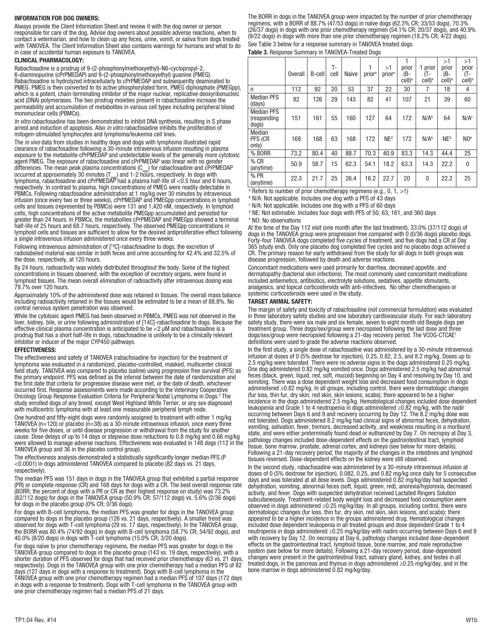#### INFORMATION FOR DOG OWNERS:

Always provide the Client Information Sheet and review it with the dog owner or person responsible for care of the dog. Advise dog owners about possible adverse reactions, when to contact a veterinarian, and how to clean up any feces, urine, vomit, or saliva from dogs treated with TANOVEA. The Client Information Sheet also contains warnings for humans and what to do in case of accidental human exposure to TANOVEA.

#### CLINICAL PHARMACOLOGY:

Rabacfosadine is a prodrug of 9-(2-phosphonylmethoxyethyl)-N6-cyclopropyl-2, 6-diaminopurine (cPrPMEDAP) and 9-(2-phosphonylmethoxyethyl) guanine (PMEG). Rabacfosadine is hydrolyzed intracellularly to cPrPMEDAP and subsequently deaminated to PMEG. PMEG is then converted to its active phosphorylated form, PMEG diphosphate (PMEGpp), which is a potent, chain-terminating inhibitor of the major nuclear, replicative deoxyribonucleic acid (DNA) polymerases. The two prodrug moieties present in rabacfosadine increase the permeability and accumulation of metabolites in various cell types including peripheral blood mononuclear cells (PBMCs).

*In vitro* rabacfosadine has been demonstrated to inhibit DNA synthesis, resulting in S phase arrest and induction of apoptosis. Also *in vitro* rabacfosadine inhibits the proliferation of mitogen-stimulated lymphocytes and lymphoma/leukemia cell lines.

The *in vivo* data from studies in healthy dogs and dogs with lymphoma illustrated rapid clearance of rabacfosadine following a 30-minute intravenous infusion resulting in plasma exposure to the metabolite cPrPMEDAP and undetectable levels of the generally more cytotoxic agent PMEG. The exposure of rabacfosadine and cPrPMEDAP was linear with no gender differences. The mean peak plasma concentrations  $(C_{\text{max}})$  for rabacfosadine and cPrPMEDAP occurred at approximately 30 minutes (T<sub>ma</sub>) and 1-2 höürs, respectively. In dogs with<br>lymphoma, rabacfosadine and cPrPMEDAP had a plasma half-life of <0.5 hour and 6 hours, respectively. In contrast to plasma, high concentrations of PMEG were readily detectable in PBMCs. Following rabacfosadine administration at 1 mg/kg over 30 minutes by intravenous infusion (once every two or three weeks), cPrPMEDAP and PMEGpp concentrations in lymphoid cells and tissues (represented by PBMCs) were 131 and 1,420 nM, respectively. In lymphoid cells, high concentrations of the active metabolite PMEGpp accumulated and persisted for greater than 24 hours. In PBMCs, the metabolites cPrPMEDAP and PMEGpp showed a terminal half-life of 25 hours and 68.7 hours, respectively. The observed PMEGpp concentrations in lymphoid cells and tissues are sufficient to allow for the desired antiproliferative effect following a single intravenous infusion administered once every three weeks.

Following intravenous administration of [14C]-rabacfosadine to dogs, the excretion of radiolabeled material was similar in both feces and urine accounting for 42.4% and 32.5% of the dose, respectively, at 120 hours.

By 24 hours, radioactivity was widely distributed throughout the body. Some of the highest concentrations in tissues observed, with the exception of excretory organs, were found in lymphoid tissues. The mean overall elimination of radioactivity after intravenous dosing was 79.7% over 120 hours.

Approximately 10% of the administered dose was retained in tissues. The overall mass balance including radioactivity retained in the tissues would be estimated to be a mean of 88.8%. No central nervous system penetration was observed.

While the cytotoxic agent PMEG has been observed in PBMCs, PMEG was not observed in the liver, kidney, bile, or urine following administration of [14C]-rabacfosadine to dogs. Because the effective clinical plasma concentration is anticipated to be <2 μM and rabacfosadine is a prodrug that has a short half-life in dogs, rabacfosadine is unlikely to be a clinically relevant inhibitor or inducer of the major CYP450 pathways.

#### EFFECTIVENESS:

The effectiveness and safety of TANOVEA (rabacfosadine for injection) for the treatment of lymphoma was evaluated in a randomized, placebo-controlled, masked, multicenter clinical field study. TANOVEA was compared to placebo (saline) using progression free survival (PFS) as the primary endpoint. PFS was defined as the interval between the date of randomization and the first date that criteria for progressive disease were met, or the date of death, whichever occurred first. Response assessments were made according to the Veterinary Cooperative Oncology Group Response Evaluation Criteria for Peripheral Nodal Lymphoma in Dogs.2 The study enrolled dogs of any breed, except West Highland White Terrier, or any sex diagnosed with multicentric lymphoma with at least one measurable peripheral lymph node.

One hundred and fifty-eight dogs were randomly assigned to treatment with either 1 mg/kg TANOVEA ( $n=120$ ) or placebo ( $n=38$ ) as a 30-minute intravenous infusion, once every three weeks for five doses, or until disease progression or withdrawal from the study for another cause. Dose delays of up to 14 days or stepwise dose reductions to 0.8 mg/kg and 0.66 mg/kg were allowed to manage adverse reactions. Effectiveness was evaluated in 148 dogs (112 in the TANOVEA group and 36 in the placebo control group).

The effectiveness analysis demonstrated a statistically significantly longer median PFS (P <0.0001) in dogs administered TANOVEA compared to placebo (82 days vs. 21 days, respectively).

The median PFS was 151 days in dogs in the TANOVEA group that exhibited a partial response (PR) or complete response (CR) and 168 days for dogs with a CR. The best overall response rate (BORR; the percent of dogs with a PR or CR as their highest response on study) was 73.2% (82/112 dogs) for dogs in the TANOVEA group (50.9% CR; 57/112 dogs) vs. 5.6% (2/36 dogs) for dogs in the placebo group (0% CR; 0/36 dogs).

For dogs with B-cell lymphoma, the median PFS was greater for dogs in the TANOVEA group compared to dogs in the placebo group (126 vs. 21 days, respectively). A smaller trend was observed for dogs with T-cell lymphoma (29 vs. 17 days, respectively). In the TANOVEA group, the BORR was 80.4% (74/92 dogs) in dogs with B-cell lymphoma (58.7% CR; 54/92 dogs), and 40.0% (8/20 dogs) in dogs with T-cell lymphoma (15.0% CR; 3/20 dogs).

For dogs naïve to prior chemotherapy regimens, the median PFS was greater for dogs in the TANOVEA group compared to dogs in the placebo group (143 vs. 19 days, respectively), with a shorter duration of PFS observed for dogs that had received prior chemotherapy (63 vs. 21 days, respectively). Dogs in the TANOVEA group with one prior chemotherapy had a median PFS of 82 days (127 days in dogs with a response to treatment). Dogs with B-cell lymphoma in the TANOVEA group with one prior chemotherapy regimen had a median PFS of 107 days (172 days in dogs with a response to treatment). Dogs with T-cell lymphoma in the TANOVEA group with one prior chemotherapy regimen had a median PFS of 21 days.

The BORR in dogs in the TANOVEA group were impacted by the number of prior chemotherapy regimens, with a BORR of 88.7% (47/53 dogs) in naïve dogs (62.3% CR; 33/53 dogs), 70.3% (26/37 dogs) in dogs with one prior chemotherapy regimen (54.1% CR; 20/37 dogs), and 40.9% (9/22 dogs) in dogs with more than one prior chemotherapy regimen (18.2% CR; 4/22 dogs). See Table 3 below for a response summary in TANOVEA treated dogs.

Table 3. Response Summary in TANOVEA-Treated Dogs

|                                           | <b>Overall</b> | B-cell | T-<br>cell | Naive | 1<br>prior <sup>a</sup> | >1<br>prior <sup>a</sup> | prior<br>(B-<br>cell) <sup>a</sup> | 1 prior<br>(T-<br>$cell)^a$ | >1<br>prior<br>(B-<br>cell) <sup>a</sup> | >1<br>prior<br>(T-<br>cell) <sup>a</sup> |
|-------------------------------------------|----------------|--------|------------|-------|-------------------------|--------------------------|------------------------------------|-----------------------------|------------------------------------------|------------------------------------------|
| n                                         | 112            | 92     | 20         | 53    | 37                      | 22                       | 30                                 | 7                           | 18                                       | 4                                        |
| <b>Median PFS</b><br>(days)               | 82             | 126    | 29         | 143   | 82                      | 41                       | 107                                | 21                          | 39                                       | 60                                       |
| <b>Median PFS</b><br>(responding<br>dogs) | 151            | 161    | 55         | 160   | 127                     | 64                       | 172                                | N/A <sup>b</sup>            | 64                                       | N/A <sup>c</sup>                         |
| Median<br>PFS (CR<br>only)                | 168            | 168    | 63         | 168   | 172                     | NE <sup>d</sup>          | 172                                | N/A <sup>b</sup>            | NE <sup>d</sup>                          | NO <sup>e</sup>                          |
| % BORR                                    | 73.2           | 80.4   | 40         | 88.7  | 70.3                    | 40.9                     | 83.3                               | 14.3                        | 44.4                                     | 25                                       |
| $%$ CR<br>(anytime)                       | 50.9           | 58.7   | 15         | 62.3  | 54.1                    | 18.2                     | 63.3                               | 14.3                        | 22.2                                     | 0                                        |
| % PR<br>(anytime)                         | 22.3           | 21.7   | 25         | 26.4  | 16.2                    | 22.7                     | 20                                 | 0                           | 22.2                                     | 25                                       |

a Refers to number of prior chemotherapy regimens (e.g., 0, 1, >1)

**N/A: Not applicable. Includes one dog with a PFS of 43 days** 

c N/A: Not applicable. Includes one dog with a PFS of 60 days

d NE: Not estimable. Includes four dogs with PFS of 50, 63, 161, and 360 days

e NO: No observations

At the time of the Day 112 visit (one month after the last treatment), 33.0% (37/112 dogs) of dogs in the TANOVEA group were progression free compared with 0 (0/36 dogs) placebo dogs. Forty-four TANOVEA dogs completed five cycles of treatment, and five dogs had a CR at Day 365 (study end). Only one placebo dog completed five cycles and no placebo dogs achieved a CR. The primary reason for early withdrawal from the study for all dogs in both groups was disease progression, followed by death and adverse reactions.

Concomitant medications were used primarily for diarrhea, decreased appetite, and dermatopathy (bacterial skin infections). The most commonly used concomitant medications included antiemetics, antibiotics, electrolyte solutions, sedatives, appetite stimulants, analgesics, and topical corticosteroids with anti-infectives. No other chemotherapies or systemic corticosteroids were used in the study.

#### TARGET ANIMAL SAFETY:

The margin of safety and toxicity of rabacfosadine (not commercial formulation) was evaluated in three laboratory safety studies and one laboratory cardiovascular study. For each laboratory safety study, there were six male and six female, seven to eight month old Beagle dogs per treatment group. Three dogs/sex/group were necropsied following the last dose and three dogs/sex/group were necropsied following a 21-day recovery period. The VCOG-CTCAE1 definitions were used to grade the adverse reactions observed.

In the first study, a single dose of rabacfosadine was administered by a 30-minute intravenous infusion at doses of 0 (5% dextrose for injection), 0.25, 0.82, 2.5, and 8.2 mg/kg. Doses up to 2.5 mg/kg were tolerated. There were no adverse signs in the dogs administered 0.25 mg/kg. One dog administered 0.82 mg/kg vomited once. Dogs administered 2.5 mg/kg had abnormal feces (black, green, liquid, red, soft, mucoid) beginning on Day 4 and resolving by Day 10, and vomiting. There was a dose dependent weight loss and decreased food consumption in dogs administered ≥0.82 mg/kg. In all groups, including control, there were dermatologic changes (fur loss, thin fur, dry skin, red skin, skin lesions, scabs); there appeared to be a higher incidence in the dogs administered 2.5 mg/kg. Hematological changes included dose dependent leukopenia and Grade 1 to 4 neutropenia in dogs administered ≥0.82 mg/kg, with the nadir occurring between Days 6 and 9 and recovery occurring by Day 12. The 8.2 mg/kg dose was not tolerated. Dogs administered 8.2 mg/kg had clinical signs of abnormal feces, dehydration, vomiting, salivation, fever, tremors, decreased activity, and weakness resulting in a moribund state, and were either preterminally found dead or euthanized by Day 7. On necropsy at Day 3, pathology changes included dose-dependent effects on the gastrointestinal tract, lymphoid tissue, bone marrow, prostate, adrenal cortex, and kidneys (see below for more details). Following a 21-day recovery period, the majority of the changes in the intestines and lymphoid tissues reversed. Dose-dependent effects on the kidney were still observed.

In the second study, rabacfosadine was administered by a 30-minute intravenous infusion at doses of 0 (5% dextrose for injection), 0.082, 0.25, and 0.82 mg/kg once daily for 5 consecutive days and was tolerated at all dose levels. Dogs administered 0.82 mg/kg/day had suspected dehydration, vomiting, abnormal feces (soft, liquid, green, red), anorexia/hyporexia, decreased activity, and fever. Dogs with suspected dehydration received Lactated Ringers Solution subcutaneously. Treatment-related body weight loss and decreased food consumption were observed in dogs administered ≥0.25 mg/kg/day. In all groups, including control, there were dermatologic changes (fur loss, thin fur, dry skin, red skin, skin lesions, and scabs); there appeared to be a higher incidence in the groups administered drug. Hematological changes included dose dependent leukopenia in all treated groups and dose dependent Grade 1 to 4 neutropenia in dogs administered ≥0.25 mg/kg/day with nadirs occurring between Days 6 and 9 with recovery by Day 12. On necropsy at Day 6, pathology changes included dose-dependent effects on the gastrointestinal tract, lymphoid tissue, bone marrow, and male reproductive system (see below for more details). Following a 21-day recovery period, dose-dependent changes were present in the gastrointestinal tract, salivary gland, kidney, and testes in all treated dogs, in the pancreas and thymus in dogs administered ≥0.25 mg/kg/day, and in the bone marrow in dogs administered 0.82 mg/kg/day.